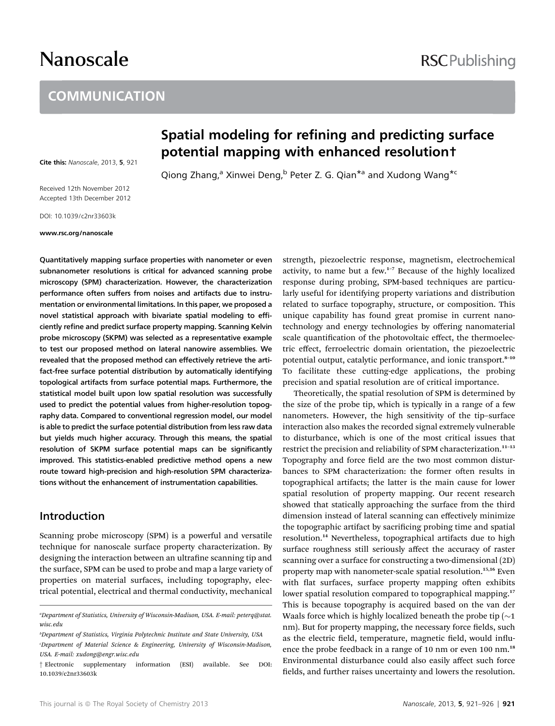# Nanoscale

### **COMMUNICATION**

Cite this: Nanoscale, 2013, 5, 921

Received 12th November 2012 Accepted 13th December 2012

DOI: 10.1039/c2nr33603k

#### www.rsc.org/nanoscale

Quantitatively mapping surface properties with nanometer or even subnanometer resolutions is critical for advanced scanning probe microscopy (SPM) characterization. However, the characterization performance often suffers from noises and artifacts due to instrumentation or environmental limitations. In this paper, we proposed a novel statistical approach with bivariate spatial modeling to efficiently refine and predict surface property mapping. Scanning Kelvin probe microscopy (SKPM) was selected as a representative example to test our proposed method on lateral nanowire assemblies. We revealed that the proposed method can effectively retrieve the artifact-free surface potential distribution by automatically identifying topological artifacts from surface potential maps. Furthermore, the statistical model built upon low spatial resolution was successfully used to predict the potential values from higher-resolution topography data. Compared to conventional regression model, our model is able to predict the surface potential distribution from less raw data but yields much higher accuracy. Through this means, the spatial resolution of SKPM surface potential maps can be significantly improved. This statistics-enabled predictive method opens a new route toward high-precision and high-resolution SPM characterizations without the enhancement of instrumentation capabilities.

#### Introduction

Scanning probe microscopy (SPM) is a powerful and versatile technique for nanoscale surface property characterization. By designing the interaction between an ultrafine scanning tip and the surface, SPM can be used to probe and map a large variety of properties on material surfaces, including topography, electrical potential, electrical and thermal conductivity, mechanical

## Spatial modeling for refining and predicting surface potential mapping with enhanced resolution†

Qiong Zhang,<sup>a</sup> Xinwei Deng,<sup>b</sup> Peter Z. G. Qian<sup>\*a</sup> and Xudong Wang<sup>\*c</sup>

strength, piezoelectric response, magnetism, electrochemical activity, to name but a few.<sup>1</sup>–<sup>7</sup> Because of the highly localized response during probing, SPM-based techniques are particularly useful for identifying property variations and distribution related to surface topography, structure, or composition. This unique capability has found great promise in current nanotechnology and energy technologies by offering nanomaterial scale quantification of the photovoltaic effect, the thermoelectric effect, ferroelectric domain orientation, the piezoelectric potential output, catalytic performance, and ionic transport.<sup>8-10</sup> To facilitate these cutting-edge applications, the probing precision and spatial resolution are of critical importance.

Theoretically, the spatial resolution of SPM is determined by the size of the probe tip, which is typically in a range of a few nanometers. However, the high sensitivity of the tip–surface interaction also makes the recorded signal extremely vulnerable to disturbance, which is one of the most critical issues that restrict the precision and reliability of SPM characterization.<sup>11-13</sup> Topography and force field are the two most common disturbances to SPM characterization: the former often results in topographical artifacts; the latter is the main cause for lower spatial resolution of property mapping. Our recent research showed that statically approaching the surface from the third dimension instead of lateral scanning can effectively minimize the topographic artifact by sacrificing probing time and spatial resolution.<sup>14</sup> Nevertheless, topographical artifacts due to high surface roughness still seriously affect the accuracy of raster scanning over a surface for constructing a two-dimensional (2D) property map with nanometer-scale spatial resolution.<sup>15,16</sup> Even with flat surfaces, surface property mapping often exhibits lower spatial resolution compared to topographical mapping.<sup>17</sup> This is because topography is acquired based on the van der Waals force which is highly localized beneath the probe tip  $(\sim 1)$ nm). But for property mapping, the necessary force fields, such as the electric field, temperature, magnetic field, would influence the probe feedback in a range of 10 nm or even 100 nm.<sup>18</sup> Environmental disturbance could also easily affect such force fields, and further raises uncertainty and lowers the resolution.

### **RSCPublishing**

a Department of Statistics, University of Wisconsin-Madison, USA. E-mail: peterq@stat. wisc.edu

b Department of Statistics, Virginia Polytechnic Institute and State University, USA

c Department of Material Science & Engineering, University of Wisconsin-Madison, USA. E-mail: xudong@engr.wisc.edu

<sup>†</sup> Electronic supplementary information (ESI) available. See DOI: 10.1039/c2nr33603k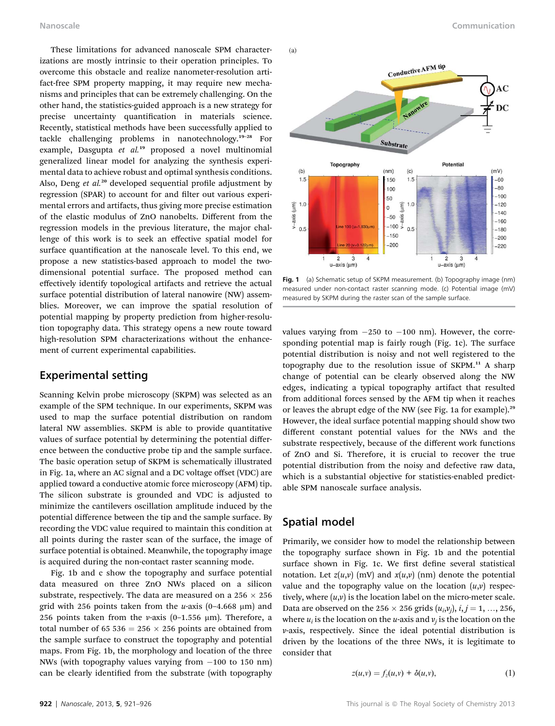These limitations for advanced nanoscale SPM characterizations are mostly intrinsic to their operation principles. To overcome this obstacle and realize nanometer-resolution artifact-free SPM property mapping, it may require new mechanisms and principles that can be extremely challenging. On the other hand, the statistics-guided approach is a new strategy for precise uncertainty quantification in materials science. Recently, statistical methods have been successfully applied to tackle challenging problems in nanotechnology.<sup>19</sup>–<sup>28</sup> For example, Dasgupta et al.<sup>19</sup> proposed a novel multinomial generalized linear model for analyzing the synthesis experimental data to achieve robust and optimal synthesis conditions. Also, Deng et  $al.^{20}$  developed sequential profile adjustment by regression (SPAR) to account for and filter out various experimental errors and artifacts, thus giving more precise estimation of the elastic modulus of ZnO nanobelts. Different from the regression models in the previous literature, the major challenge of this work is to seek an effective spatial model for surface quantification at the nanoscale level. To this end, we propose a new statistics-based approach to model the twodimensional potential surface. The proposed method can effectively identify topological artifacts and retrieve the actual surface potential distribution of lateral nanowire (NW) assemblies. Moreover, we can improve the spatial resolution of potential mapping by property prediction from higher-resolution topography data. This strategy opens a new route toward high-resolution SPM characterizations without the enhancement of current experimental capabilities.

#### Experimental setting

Scanning Kelvin probe microscopy (SKPM) was selected as an example of the SPM technique. In our experiments, SKPM was used to map the surface potential distribution on random lateral NW assemblies. SKPM is able to provide quantitative values of surface potential by determining the potential difference between the conductive probe tip and the sample surface. The basic operation setup of SKPM is schematically illustrated in Fig. 1a, where an AC signal and a DC voltage offset (VDC) are applied toward a conductive atomic force microscopy (AFM) tip. The silicon substrate is grounded and VDC is adjusted to minimize the cantilevers oscillation amplitude induced by the potential difference between the tip and the sample surface. By recording the VDC value required to maintain this condition at all points during the raster scan of the surface, the image of surface potential is obtained. Meanwhile, the topography image is acquired during the non-contact raster scanning mode.

Fig. 1b and c show the topography and surface potential data measured on three ZnO NWs placed on a silicon substrate, respectively. The data are measured on a 256  $\times$  256 grid with 256 points taken from the u-axis  $(0-4.668 \mu m)$  and 256 points taken from the v-axis (0-1.556  $\mu$ m). Therefore, a total number of 65 536 = 256  $\times$  256 points are obtained from the sample surface to construct the topography and potential maps. From Fig. 1b, the morphology and location of the three NWs (with topography values varying from  $-100$  to 150 nm) can be clearly identified from the substrate (with topography



Fig. 1 (a) Schematic setup of SKPM measurement. (b) Topography image (nm) measured under non-contact raster scanning mode. (c) Potential image (mV) measured by SKPM during the raster scan of the sample surface.

values varying from  $-250$  to  $-100$  nm). However, the corresponding potential map is fairly rough (Fig. 1c). The surface potential distribution is noisy and not well registered to the topography due to the resolution issue of  $SKPM<sup>11</sup>$  A sharp change of potential can be clearly observed along the NW edges, indicating a typical topography artifact that resulted from additional forces sensed by the AFM tip when it reaches or leaves the abrupt edge of the NW (see Fig. 1a for example).<sup>29</sup> However, the ideal surface potential mapping should show two different constant potential values for the NWs and the substrate respectively, because of the different work functions of ZnO and Si. Therefore, it is crucial to recover the true potential distribution from the noisy and defective raw data, which is a substantial objective for statistics-enabled predictable SPM nanoscale surface analysis.

#### Spatial model

 $(a)$ 

Primarily, we consider how to model the relationship between the topography surface shown in Fig. 1b and the potential surface shown in Fig. 1c. We first define several statistical notation. Let  $z(u,v)$  (mV) and  $x(u,v)$  (nm) denote the potential value and the topography value on the location  $(u,v)$  respectively, where  $(u,v)$  is the location label on the micro-meter scale. Data are observed on the 256  $\times$  256 grids  $(u_i, v_i)$ ,  $i, j = 1, ..., 256$ , where  $u_i$  is the location on the u-axis and  $v_i$  is the location on the v-axis, respectively. Since the ideal potential distribution is driven by the locations of the three NWs, it is legitimate to consider that

$$
z(u,v) = f_z(u,v) + \delta(u,v), \qquad (1)
$$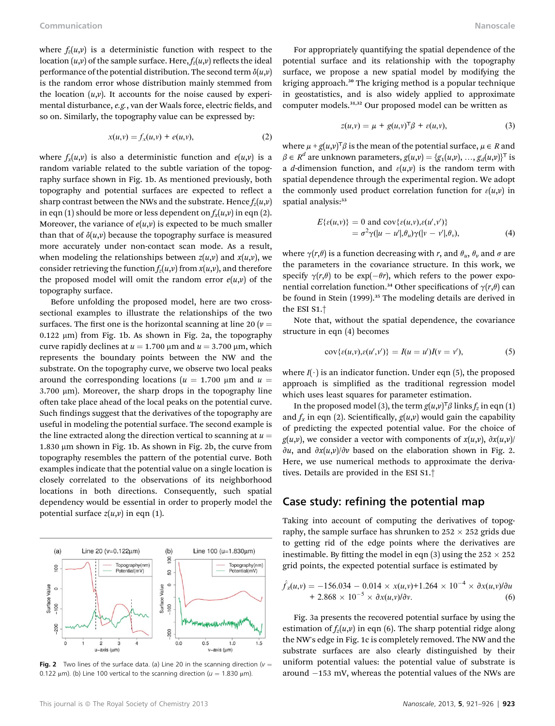where  $f_z(u, v)$  is a deterministic function with respect to the location  $(u, v)$  of the sample surface. Here,  $f_z(u, v)$  reflects the ideal performance of the potential distribution. The second term  $\delta(u,v)$ is the random error whose distribution mainly stemmed from the location  $(u, v)$ . It accounts for the noise caused by experimental disturbance, e.g., van der Waals force, electric fields, and so on. Similarly, the topography value can be expressed by:

$$
x(u, v) = f_x(u, v) + e(u, v),
$$
 (2)

where  $f_x(u, v)$  is also a deterministic function and  $e(u, v)$  is a random variable related to the subtle variation of the topography surface shown in Fig. 1b. As mentioned previously, both topography and potential surfaces are expected to reflect a sharp contrast between the NWs and the substrate. Hence  $f_z(u,v)$ in eqn (1) should be more or less dependent on  $f_x(u,v)$  in eqn (2). Moreover, the variance of  $e(u,v)$  is expected to be much smaller than that of  $\delta(u,v)$  because the topography surface is measured more accurately under non-contact scan mode. As a result, when modeling the relationships between  $z(u,v)$  and  $x(u,v)$ , we consider retrieving the function  $f_z(u,v)$  from  $x(u,v)$ , and therefore the proposed model will omit the random error  $e(u,v)$  of the topography surface.

Before unfolding the proposed model, here are two crosssectional examples to illustrate the relationships of the two surfaces. The first one is the horizontal scanning at line 20 ( $\nu$  =  $0.122 \mu m$ ) from Fig. 1b. As shown in Fig. 2a, the topography curve rapidly declines at  $u = 1.700 \mu m$  and  $u = 3.700 \mu m$ , which represents the boundary points between the NW and the substrate. On the topography curve, we observe two local peaks around the corresponding locations ( $u = 1.700 \mu m$  and  $u =$  $3.700 \mu m$ ). Moreover, the sharp drops in the topography line often take place ahead of the local peaks on the potential curve. Such findings suggest that the derivatives of the topography are useful in modeling the potential surface. The second example is the line extracted along the direction vertical to scanning at  $u =$ 1.830  $\mu$ m shown in Fig. 1b. As shown in Fig. 2b, the curve from topography resembles the pattern of the potential curve. Both examples indicate that the potential value on a single location is closely correlated to the observations of its neighborhood locations in both directions. Consequently, such spatial dependency would be essential in order to properly model the potential surface  $z(u,v)$  in eqn (1).



**Fig. 2** Two lines of the surface data. (a) Line 20 in the scanning direction ( $v =$ 0.122  $\mu$ m). (b) Line 100 vertical to the scanning direction ( $u = 1.830 \mu$ m).

For appropriately quantifying the spatial dependence of the potential surface and its relationship with the topography surface, we propose a new spatial model by modifying the kriging approach.<sup>30</sup> The kriging method is a popular technique in geostatistics, and is also widely applied to approximate computer models.31,32 Our proposed model can be written as

$$
z(u,v) = \mu + g(u,v)^\mathsf{T} \beta + \varepsilon(u,v),\tag{3}
$$

where  $\mu + g(u,v)^{\mathsf{T}}\beta$  is the mean of the potential surface,  $\mu \in R$  and  $\beta \in R^d$  are unknown parameters,  $g(u,v) = \{g_1(u,v), ..., g_d(u,v)\}^{\top}$  is a d-dimension function, and  $\varepsilon(u,v)$  is the random term with spatial dependence through the experimental region. We adopt the commonly used product correlation function for  $\varepsilon(u,v)$  in spatial analysis:<sup>33</sup>

$$
E{\epsilon(u,v)} = 0 \text{ and } \text{cov}{\epsilon(u,v), \epsilon(u',v')}
$$
  
=  $\sigma^2 \gamma(|u - u'|, \theta_u) \gamma(|v - v'|, \theta_v),$  (4)

where  $\gamma(r,\theta)$  is a function decreasing with r, and  $\theta_u$ ,  $\theta_v$  and  $\sigma$  are the parameters in the covariance structure. In this work, we specify  $\gamma(r,\theta)$  to be exp( $-\theta r$ ), which refers to the power exponential correlation function.<sup>34</sup> Other specifications of  $\gamma(r,\theta)$  can be found in Stein (1999).<sup>35</sup> The modeling details are derived in the ESI S1.†

Note that, without the spatial dependence, the covariance structure in eqn (4) becomes

$$
cov{\varepsilon(u,v),\varepsilon(u',v')\}}=I(u=u')I(v=v'),\qquad \qquad (5)
$$

where  $I(\cdot)$  is an indicator function. Under eqn (5), the proposed approach is simplified as the traditional regression model which uses least squares for parameter estimation.

In the proposed model (3), the term  $g(u, v)^\top \beta$  links  $f_z$  in eqn (1) and  $f_x$  in eqn (2). Scientifically,  $g(u,v)$  would gain the capability of predicting the expected potential value. For the choice of  $g(u,v)$ , we consider a vector with components of  $x(u,v)$ ,  $\partial x(u,v)$ /  $\partial u$ , and  $\partial x(u,v)/\partial v$  based on the elaboration shown in Fig. 2. Here, we use numerical methods to approximate the derivatives. Details are provided in the ESI S1.†

#### Case study: refining the potential map

Taking into account of computing the derivatives of topography, the sample surface has shrunken to  $252 \times 252$  grids due to getting rid of the edge points where the derivatives are inestimable. By fitting the model in eqn (3) using the  $252 \times 252$ grid points, the expected potential surface is estimated by

$$
\hat{f}_z(u,v) = -156.034 - 0.014 \times x(u,v) + 1.264 \times 10^{-4} \times \partial x(u,v)/\partial u \n+ 2.868 \times 10^{-5} \times \partial x(u,v)/\partial v.
$$
\n(6)

Fig. 3a presents the recovered potential surface by using the estimation of  $f_z(u,v)$  in eqn (6). The sharp potential ridge along the NW's edge in Fig. 1c is completely removed. The NW and the substrate surfaces are also clearly distinguished by their uniform potential values: the potential value of substrate is around  $-153$  mV, whereas the potential values of the NWs are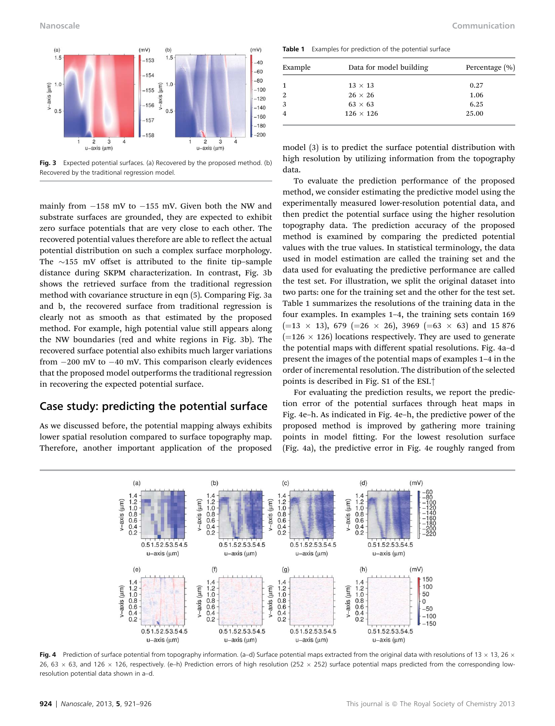

Fig. 3 Expected potential surfaces. (a) Recovered by the proposed method. (b) Recovered by the traditional regression model.

mainly from  $-158$  mV to  $-155$  mV. Given both the NW and substrate surfaces are grounded, they are expected to exhibit zero surface potentials that are very close to each other. The recovered potential values therefore are able to reflect the actual potential distribution on such a complex surface morphology. The  $\sim$ 155 mV offset is attributed to the finite tip–sample distance during SKPM characterization. In contrast, Fig. 3b shows the retrieved surface from the traditional regression method with covariance structure in eqn (5). Comparing Fig. 3a and b, the recovered surface from traditional regression is clearly not as smooth as that estimated by the proposed method. For example, high potential value still appears along the NW boundaries (red and white regions in Fig. 3b). The recovered surface potential also exhibits much larger variations from  $-200$  mV to  $-40$  mV. This comparison clearly evidences that the proposed model outperforms the traditional regression in recovering the expected potential surface.

#### Case study: predicting the potential surface

As we discussed before, the potential mapping always exhibits lower spatial resolution compared to surface topography map. Therefore, another important application of the proposed

Nanoscale Communication

Table 1 Examples for prediction of the potential surface

| Example | Data for model building | Percentage (%) |
|---------|-------------------------|----------------|
|         | $13 \times 13$          | 0.27           |
|         | $26 \times 26$          | 1.06           |
| 3       | $63 \times 63$          | 6.25           |
|         | $126 \times 126$        | 25.00          |
|         |                         |                |

model (3) is to predict the surface potential distribution with high resolution by utilizing information from the topography data.

To evaluate the prediction performance of the proposed method, we consider estimating the predictive model using the experimentally measured lower-resolution potential data, and then predict the potential surface using the higher resolution topography data. The prediction accuracy of the proposed method is examined by comparing the predicted potential values with the true values. In statistical terminology, the data used in model estimation are called the training set and the data used for evaluating the predictive performance are called the test set. For illustration, we split the original dataset into two parts: one for the training set and the other for the test set. Table 1 summarizes the resolutions of the training data in the four examples. In examples 1–4, the training sets contain 169  $(=13 \times 13)$ , 679  $(=26 \times 26)$ , 3969  $(=63 \times 63)$  and 15 876  $(=126 \times 126)$  locations respectively. They are used to generate the potential maps with different spatial resolutions. Fig. 4a–d present the images of the potential maps of examples 1–4 in the order of incremental resolution. The distribution of the selected points is described in Fig. S1 of the ESI.†

For evaluating the prediction results, we report the prediction error of the potential surfaces through heat maps in Fig. 4e–h. As indicated in Fig. 4e–h, the predictive power of the proposed method is improved by gathering more training points in model fitting. For the lowest resolution surface (Fig. 4a), the predictive error in Fig. 4e roughly ranged from



Fig. 4 Prediction of surface potential from topography information. (a-d) Surface potential maps extracted from the original data with resolutions of 13  $\times$  13, 26  $\times$ 26, 63  $\times$  63, and 126  $\times$  126, respectively. (e–h) Prediction errors of high resolution (252  $\times$  252) surface potential maps predicted from the corresponding lowresolution potential data shown in a–d.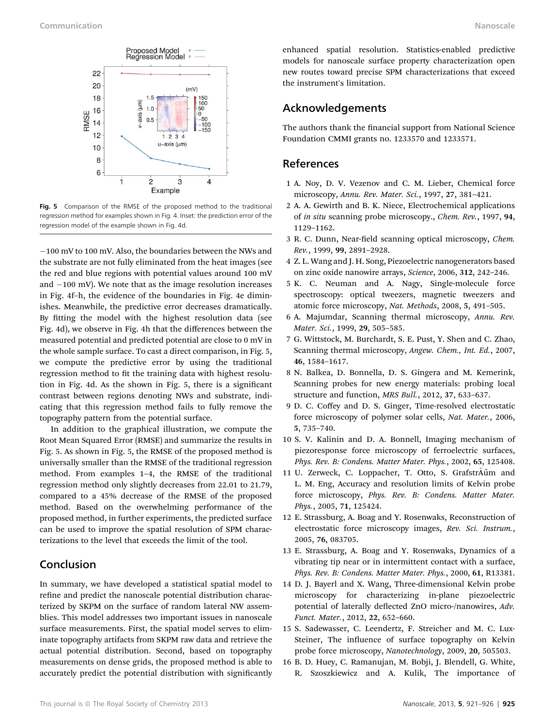

Fig. 5 Comparison of the RMSE of the proposed method to the traditional regression method for examples shown in Fig. 4. Inset: the prediction error of the regression model of the example shown in Fig. 4d.

 $-100$  mV to 100 mV. Also, the boundaries between the NWs and the substrate are not fully eliminated from the heat images (see the red and blue regions with potential values around 100 mV and  $-100$  mV). We note that as the image resolution increases in Fig. 4f–h, the evidence of the boundaries in Fig. 4e diminishes. Meanwhile, the predictive error decreases dramatically. By fitting the model with the highest resolution data (see Fig. 4d), we observe in Fig. 4h that the differences between the measured potential and predicted potential are close to 0 mV in the whole sample surface. To cast a direct comparison, in Fig. 5, we compute the predictive error by using the traditional regression method to fit the training data with highest resolution in Fig. 4d. As the shown in Fig. 5, there is a signicant contrast between regions denoting NWs and substrate, indicating that this regression method fails to fully remove the topography pattern from the potential surface.

In addition to the graphical illustration, we compute the Root Mean Squared Error (RMSE) and summarize the results in Fig. 5. As shown in Fig. 5, the RMSE of the proposed method is universally smaller than the RMSE of the traditional regression method. From examples 1–4, the RMSE of the traditional regression method only slightly decreases from 22.01 to 21.79, compared to a 45% decrease of the RMSE of the proposed method. Based on the overwhelming performance of the proposed method, in further experiments, the predicted surface can be used to improve the spatial resolution of SPM characterizations to the level that exceeds the limit of the tool.

#### Conclusion

In summary, we have developed a statistical spatial model to refine and predict the nanoscale potential distribution characterized by SKPM on the surface of random lateral NW assemblies. This model addresses two important issues in nanoscale surface measurements. First, the spatial model serves to eliminate topography artifacts from SKPM raw data and retrieve the actual potential distribution. Second, based on topography measurements on dense grids, the proposed method is able to accurately predict the potential distribution with significantly enhanced spatial resolution. Statistics-enabled predictive models for nanoscale surface property characterization open new routes toward precise SPM characterizations that exceed the instrument's limitation.

#### Acknowledgements

The authors thank the financial support from National Science Foundation CMMI grants no. 1233570 and 1233571.

### References

- 1 A. Noy, D. V. Vezenov and C. M. Lieber, Chemical force microscopy, Annu. Rev. Mater. Sci., 1997, 27, 381–421.
- 2 A. A. Gewirth and B. K. Niece, Electrochemical applications of in situ scanning probe microscopy., Chem. Rev., 1997, 94, 1129–1162.
- 3 R. C. Dunn, Near-field scanning optical microscopy, Chem. Rev., 1999, 99, 2891–2928.
- 4 Z. L. Wang and J. H. Song, Piezoelectric nanogenerators based on zinc oxide nanowire arrays, Science, 2006, 312, 242–246.
- 5 K. C. Neuman and A. Nagy, Single-molecule force spectroscopy: optical tweezers, magnetic tweezers and atomic force microscopy, Nat. Methods, 2008, 5, 491–505.
- 6 A. Majumdar, Scanning thermal microscopy, Annu. Rev. Mater. Sci., 1999, 29, 505–585.
- 7 G. Wittstock, M. Burchardt, S. E. Pust, Y. Shen and C. Zhao, Scanning thermal microscopy, Angew. Chem., Int. Ed., 2007, 46, 1584–1617.
- 8 N. Balkea, D. Bonnella, D. S. Gingera and M. Kemerink, Scanning probes for new energy materials: probing local structure and function, MRS Bull., 2012, 37, 633–637.
- 9 D. C. Coffey and D. S. Ginger, Time-resolved electrostatic force microscopy of polymer solar cells, Nat. Mater., 2006, 5, 735–740.
- 10 S. V. Kalinin and D. A. Bonnell, Imaging mechanism of piezoresponse force microscopy of ferroelectric surfaces, Phys. Rev. B: Condens. Matter Mater. Phys., 2002, 65, 125408.
- 11 U. Zerweck, C. Loppacher, T. Otto, S. Grafstr $\tilde{A}$ űm and L. M. Eng, Accuracy and resolution limits of Kelvin probe force microscopy, Phys. Rev. B: Condens. Matter Mater. Phys., 2005, 71, 125424.
- 12 E. Strassburg, A. Boag and Y. Rosenwaks, Reconstruction of electrostatic force microscopy images, Rev. Sci. Instrum., 2005, 76, 083705.
- 13 E. Strassburg, A. Boag and Y. Rosenwaks, Dynamics of a vibrating tip near or in intermittent contact with a surface, Phys. Rev. B: Condens. Matter Mater. Phys., 2000, 61, R13381.
- 14 D. J. Bayerl and X. Wang, Three-dimensional Kelvin probe microscopy for characterizing in-plane piezoelectric potential of laterally deflected ZnO micro-/nanowires, Adv. Funct. Mater., 2012, 22, 652–660.
- 15 S. Sadewasser, C. Leendertz, F. Streicher and M. C. Lux-Steiner, The influence of surface topography on Kelvin probe force microscopy, Nanotechnology, 2009, 20, 505503.
- 16 B. D. Huey, C. Ramanujan, M. Bobji, J. Blendell, G. White, R. Szoszkiewicz and A. Kulik, The importance of